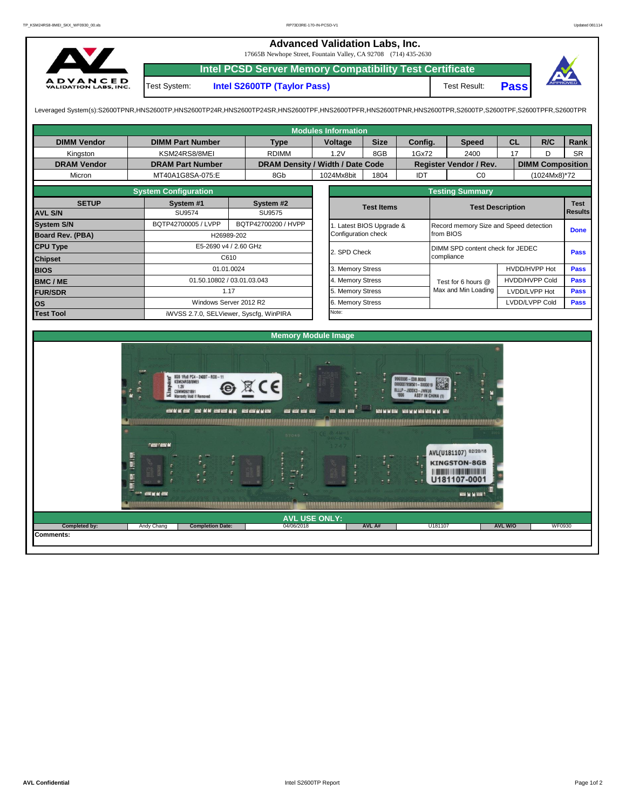## **Advanced Validation Labs, Inc.**  17665B Newhope Street, Fountain Valley, CA 92708 (714) 435-2630 **Intel PCSD Server Memory Compatibility Test Certificate** A D V A N C E D<br>VALIDATION LABS, INC. Test System: **Intel S2600TP (Taylor Pass)** Test Result: **Pass**

Leveraged System(s):S2600TPNR,HNS2600TP,HNS2600TP24R,HNS2600TP24SR,HNS2600TPF,HNS2600TPFR,HNS2600TPNR,HNS2600TPR,S2600TP,S2600TPF,S2600TPFR,S2600TPR

|                         |                                                                                                                                                                                                                                                                                                                                |            |                                        | <b>Modules Information</b> |                          |                                                                                                                                                                           |                         |                        |                |                                        |                       |             |  |  |  |  |  |
|-------------------------|--------------------------------------------------------------------------------------------------------------------------------------------------------------------------------------------------------------------------------------------------------------------------------------------------------------------------------|------------|----------------------------------------|----------------------------|--------------------------|---------------------------------------------------------------------------------------------------------------------------------------------------------------------------|-------------------------|------------------------|----------------|----------------------------------------|-----------------------|-------------|--|--|--|--|--|
| <b>DIMM Vendor</b>      | <b>DIMM Part Number</b>                                                                                                                                                                                                                                                                                                        |            | <b>Type</b>                            | Voltage                    | <b>Size</b>              | Config.                                                                                                                                                                   |                         | <b>Speed</b>           | <b>CL</b>      |                                        | R/C                   | <b>Rank</b> |  |  |  |  |  |
| Kingston                | KSM24RS8/8MEI                                                                                                                                                                                                                                                                                                                  |            | <b>RDIMM</b>                           | 1.2V                       | 8GB                      | 1Gx72                                                                                                                                                                     |                         | 2400                   | 17             |                                        | D                     | <b>SR</b>   |  |  |  |  |  |
| <b>DRAM Vendor</b>      | <b>DRAM Part Number</b>                                                                                                                                                                                                                                                                                                        |            | DRAM Density / Width / Date Code       |                            |                          |                                                                                                                                                                           |                         | Register Vendor / Rev. |                | <b>DIMM Composition</b>                |                       |             |  |  |  |  |  |
| Micron                  | MT40A1G8SA-075:E                                                                                                                                                                                                                                                                                                               |            | 8Gb                                    | 1024Mx8bit                 | IDT<br>1804              |                                                                                                                                                                           |                         | CO                     |                |                                        | (1024Mx8)*72          |             |  |  |  |  |  |
|                         | <b>System Configuration</b>                                                                                                                                                                                                                                                                                                    |            |                                        |                            |                          |                                                                                                                                                                           |                         |                        |                | <b>Testing Summary</b>                 |                       |             |  |  |  |  |  |
| <b>SETUP</b>            | System #1                                                                                                                                                                                                                                                                                                                      |            | System #2                              |                            | <b>Test Items</b>        |                                                                                                                                                                           | <b>Test Description</b> |                        |                |                                        |                       | <b>Test</b> |  |  |  |  |  |
| <b>AVL S/N</b>          | <b>SU9574</b>                                                                                                                                                                                                                                                                                                                  |            | <b>SU9575</b>                          |                            |                          |                                                                                                                                                                           |                         |                        | <b>Results</b> |                                        |                       |             |  |  |  |  |  |
| <b>System S/N</b>       | BQTP42700005 / LVPP                                                                                                                                                                                                                                                                                                            |            | BQTP42700200 / HVPP                    |                            | 1. Latest BIOS Upgrade & |                                                                                                                                                                           |                         |                        |                | Record memory Size and Speed detection |                       |             |  |  |  |  |  |
| <b>Board Rev. (PBA)</b> |                                                                                                                                                                                                                                                                                                                                | H26989-202 | Configuration check                    |                            | <b>Done</b><br>from BIOS |                                                                                                                                                                           |                         |                        |                |                                        |                       |             |  |  |  |  |  |
| <b>CPU Type</b>         | E5-2690 v4 / 2.60 GHz                                                                                                                                                                                                                                                                                                          |            | 2. SPD Check                           |                            |                          | DIMM SPD content check for JEDEC                                                                                                                                          | <b>Pass</b>             |                        |                |                                        |                       |             |  |  |  |  |  |
| <b>Chipset</b>          |                                                                                                                                                                                                                                                                                                                                | C610       |                                        |                            |                          | compliance                                                                                                                                                                |                         |                        |                |                                        |                       |             |  |  |  |  |  |
| <b>BIOS</b>             |                                                                                                                                                                                                                                                                                                                                | 01.01.0024 |                                        | 3. Memory Stress           |                          |                                                                                                                                                                           |                         |                        |                |                                        | HVDD/HVPP Hot         | <b>Pass</b> |  |  |  |  |  |
| <b>BMC/ME</b>           | 01.50.10802 / 03.01.03.043                                                                                                                                                                                                                                                                                                     |            |                                        | 4. Memory Stress           |                          |                                                                                                                                                                           |                         | Test for 6 hours @     |                |                                        | <b>HVDD/HVPP Cold</b> | <b>Pass</b> |  |  |  |  |  |
| <b>FUR/SDR</b>          |                                                                                                                                                                                                                                                                                                                                | 1.17       |                                        | 5. Memory Stress           |                          |                                                                                                                                                                           |                         | Max and Min Loading    | LVDD/LVPP Hot  |                                        |                       | <b>Pass</b> |  |  |  |  |  |
| los                     | Windows Server 2012 R2                                                                                                                                                                                                                                                                                                         |            |                                        | 6. Memory Stress           |                          |                                                                                                                                                                           |                         |                        |                |                                        | LVDD/LVPP Cold        | <b>Pass</b> |  |  |  |  |  |
| <b>Test Tool</b>        | iWVSS 2.7.0, SELViewer, Syscfq, WinPIRA                                                                                                                                                                                                                                                                                        |            |                                        | Note:                      |                          |                                                                                                                                                                           |                         |                        |                |                                        |                       |             |  |  |  |  |  |
|                         |                                                                                                                                                                                                                                                                                                                                |            |                                        |                            |                          |                                                                                                                                                                           |                         |                        |                |                                        |                       |             |  |  |  |  |  |
|                         |                                                                                                                                                                                                                                                                                                                                |            |                                        | <b>Memory Module Image</b> |                          |                                                                                                                                                                           |                         |                        |                |                                        |                       |             |  |  |  |  |  |
|                         | 8GB 1Rx8 PC4-2400T-RD0-11<br>KSM24RS8/8MEI<br>B<br>1.2V<br>£.<br>z.<br><b>CSMM0921891</b><br>m.<br><b>Warranty Void If Removed</b><br>ASSEMENT AND ARREST AND RESIDENCE AND ARREST AND ARREST AND ARREST AND ARREST AND ARREST AND ARREST AND ARREST<br><u> Karl Barat da Barat da Barat da Barat da Ba</u><br><b>CANCAN M</b> |            | $\epsilon$<br>and and and and<br>57049 | --                         |                          | 9965596-038.800G<br>0000007958501-5000019<br>8LLLP-J93SK3-JWKU6<br><b>ASSY IN CHINA (1)</b><br>RESOLUTION CONSUMING RESOLUTION<br>THE REAL PROPERTY OF THE REAL PROPERTY. |                         |                        |                |                                        |                       |             |  |  |  |  |  |

|               | <b>AND ALC ARE AND A</b><br>\ <i>KARRAARRAARRAARRAARRAARRA</i> A | $-1$                    | π<br>. .             | 光度     | U181107-0001<br>$+1$<br><b>MOS M M MOST</b> |         |               |
|---------------|------------------------------------------------------------------|-------------------------|----------------------|--------|---------------------------------------------|---------|---------------|
|               |                                                                  |                         | <b>AVL USE ONLY:</b> |        |                                             |         |               |
| Completed by: | Andy Chang                                                       | <b>Completion Date:</b> | 04/06/2018           | AVL A# | U181107                                     | AVL W/O | <b>WF0930</b> |